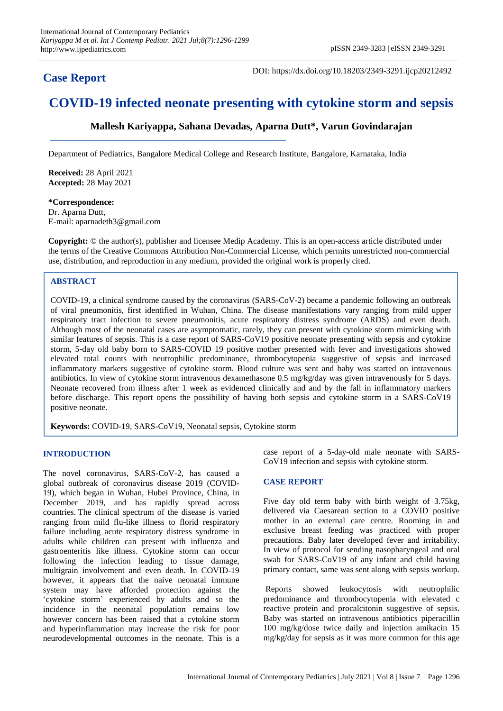# **Case Report**

DOI: https://dx.doi.org/10.18203/2349-3291.ijcp20212492

# **COVID-19 infected neonate presenting with cytokine storm and sepsis**

# **Mallesh Kariyappa, Sahana Devadas, Aparna Dutt\*, Varun Govindarajan**

Department of Pediatrics, Bangalore Medical College and Research Institute, Bangalore, Karnataka, India

**Received:** 28 April 2021 **Accepted:** 28 May 2021

**\*Correspondence:** Dr. Aparna Dutt, E-mail: aparnadeth3@gmail.com

**Copyright:** © the author(s), publisher and licensee Medip Academy. This is an open-access article distributed under the terms of the Creative Commons Attribution Non-Commercial License, which permits unrestricted non-commercial use, distribution, and reproduction in any medium, provided the original work is properly cited.

### **ABSTRACT**

COVID-19, a clinical syndrome caused by the coronavirus (SARS-CoV-2) became a pandemic following an outbreak of viral pneumonitis, first identified in Wuhan, China. The disease manifestations vary ranging from mild upper respiratory tract infection to severe pneumonitis, acute respiratory distress syndrome (ARDS) and even death. Although most of the neonatal cases are asymptomatic, rarely, they can present with cytokine storm mimicking with similar features of sepsis. This is a case report of SARS-CoV19 positive neonate presenting with sepsis and cytokine storm, 5-day old baby born to SARS-COVID 19 positive mother presented with fever and investigations showed elevated total counts with neutrophilic predominance, thrombocytopenia suggestive of sepsis and increased inflammatory markers suggestive of cytokine storm. Blood culture was sent and baby was started on intravenous antibiotics. In view of cytokine storm intravenous dexamethasone 0.5 mg/kg/day was given intravenously for 5 days. Neonate recovered from illness after 1 week as evidenced clinically and and by the fall in inflammatory markers before discharge. This report opens the possibility of having both sepsis and cytokine storm in a SARS-CoV19 positive neonate.

**Keywords:** COVID-19, SARS-CoV19, Neonatal sepsis, Cytokine storm

## **INTRODUCTION**

The novel coronavirus, SARS-CoV-2, has caused a global outbreak of coronavirus disease 2019 (COVID-19), which began in Wuhan, Hubei Province, China, in December 2019, and has rapidly spread across countries. The clinical spectrum of the disease is varied ranging from mild flu-like illness to florid respiratory failure including acute respiratory distress syndrome in adults while children can present with influenza and gastroenteritis like illness. Cytokine storm can occur following the infection leading to tissue damage, multigrain involvement and even death. In COVID-19 however, it appears that the naive neonatal immune system may have afforded protection against the 'cytokine storm' experienced by adults and so the incidence in the neonatal population remains low however concern has been raised that a cytokine storm and hyperinflammation may increase the risk for poor neurodevelopmental outcomes in the neonate. This is a case report of a 5-day-old male neonate with SARS-CoV19 infection and sepsis with cytokine storm.

#### **CASE REPORT**

Five day old term baby with birth weight of 3.75kg, delivered via Caesarean section to a COVID positive mother in an external care centre. Rooming in and exclusive breast feeding was practiced with proper precautions. Baby later developed fever and irritability. In view of protocol for sending nasopharyngeal and oral swab for SARS-CoV19 of any infant and child having primary contact, same was sent along with sepsis workup.

Reports showed leukocytosis with neutrophilic predominance and thrombocytopenia with elevated c reactive protein and procalcitonin suggestive of sepsis. Baby was started on intravenous antibiotics piperacillin 100 mg/kg/dose twice daily and injection amikacin 15 mg/kg/day for sepsis as it was more common for this age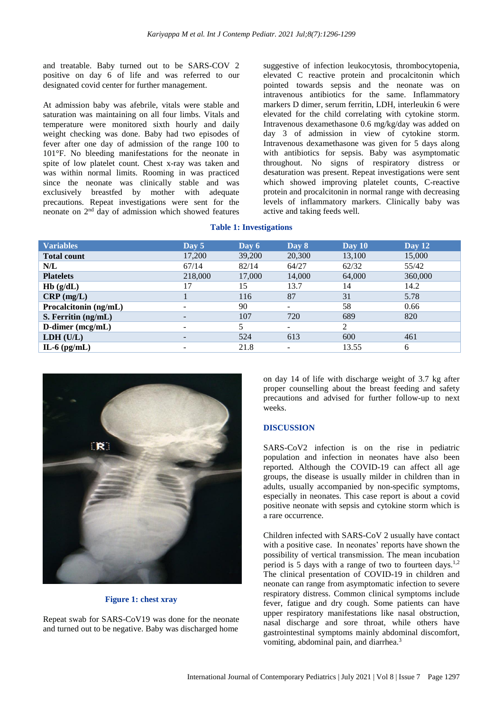and treatable. Baby turned out to be SARS-COV 2 positive on day 6 of life and was referred to our designated covid center for further management.

At admission baby was afebrile, vitals were stable and saturation was maintaining on all four limbs. Vitals and temperature were monitored sixth hourly and daily weight checking was done. Baby had two episodes of fever after one day of admission of the range 100 to 101°F. No bleeding manifestations for the neonate in spite of low platelet count. Chest x-ray was taken and was within normal limits. Rooming in was practiced since the neonate was clinically stable and was exclusively breastfed by mother with adequate precautions. Repeat investigations were sent for the neonate on 2<sup>nd</sup> day of admission which showed features

suggestive of infection leukocytosis, thrombocytopenia, elevated C reactive protein and procalcitonin which pointed towards sepsis and the neonate was on intravenous antibiotics for the same. Inflammatory markers D dimer, serum ferritin, LDH, interleukin 6 were elevated for the child correlating with cytokine storm. Intravenous dexamethasone 0.6 mg/kg/day was added on day 3 of admission in view of cytokine storm. Intravenous dexamethasone was given for 5 days along with antibiotics for sepsis. Baby was asymptomatic throughout. No signs of respiratory distress or desaturation was present. Repeat investigations were sent which showed improving platelet counts, C-reactive protein and procalcitonin in normal range with decreasing levels of inflammatory markers. Clinically baby was active and taking feeds well.

**Table 1: Investigations**

| <b>Variables</b>      | Day $5$ | Day 6  | Day 8                    | $\bf Dav 10$ | Day $12$ |
|-----------------------|---------|--------|--------------------------|--------------|----------|
| <b>Total count</b>    | 17,200  | 39,200 | 20,300                   | 13,100       | 15,000   |
| N/L                   | 67/14   | 82/14  | 64/27                    | 62/32        | 55/42    |
| <b>Platelets</b>      | 218,000 | 17,000 | 14,000                   | 64,000       | 360,000  |
| Hb(g/dL)              | 17      | 15     | 13.7                     | 14           | 14.2     |
| $CRP$ (mg/L)          |         | 116    | 87                       | 31           | 5.78     |
| Procalcitonin (ng/mL) |         | 90     | ۰                        | 58           | 0.66     |
| S. Ferritin (ng/mL)   |         | 107    | 720                      | 689          | 820      |
| D-dimer (mcg/mL)      |         | 5      | ۰                        | 2            |          |
| LDH (U/L)             |         | 524    | 613                      | 600          | 461      |
| IL-6 $(pg/mL)$        |         | 21.8   | $\overline{\phantom{0}}$ | 13.55        | 6        |



#### **Figure 1: chest xray**

Repeat swab for SARS-CoV19 was done for the neonate and turned out to be negative. Baby was discharged home on day 14 of life with discharge weight of 3.7 kg after proper counselling about the breast feeding and safety precautions and advised for further follow-up to next weeks.

#### **DISCUSSION**

SARS-CoV2 infection is on the rise in pediatric population and infection in neonates have also been reported. Although the COVID-19 can affect all age groups, the disease is usually milder in children than in adults, usually accompanied by non-specific symptoms, especially in neonates. This case report is about a covid positive neonate with sepsis and cytokine storm which is a rare occurrence.

Children infected with SARS-CoV 2 usually have contact with a positive case. In neonates' reports have shown the possibility of vertical transmission. The mean incubation period is 5 days with a range of two to fourteen days.1,2 The clinical presentation of COVID-19 in children and neonate can range from asymptomatic infection to severe respiratory distress. Common clinical symptoms include fever, fatigue and dry cough. Some patients can have upper respiratory manifestations like nasal obstruction, nasal discharge and sore throat, while others have gastrointestinal symptoms mainly abdominal discomfort, vomiting, abdominal pain, and diarrhea.<sup>3</sup>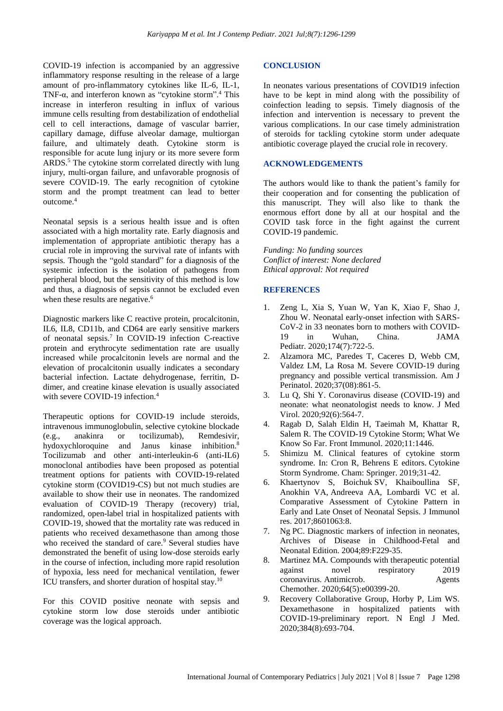COVID-19 infection is accompanied by an aggressive inflammatory response resulting in the release of a large amount of pro-inflammatory cytokines like IL-6, IL-1, TNF-α, and interferon known as "cytokine storm".<sup>4</sup> This increase in interferon resulting in influx of various immune cells resulting from destabilization of endothelial cell to cell interactions, damage of vascular barrier, capillary damage, diffuse alveolar damage, multiorgan failure, and ultimately death. Cytokine storm is responsible for acute lung injury or its more severe form ARDS.<sup>5</sup> The cytokine storm correlated directly with lung injury, multi-organ failure, and unfavorable prognosis of severe COVID-19. The early recognition of cytokine storm and the prompt treatment can lead to better outcome.<sup>4</sup>

Neonatal sepsis is a serious health issue and is often associated with a high mortality rate. Early diagnosis and implementation of appropriate antibiotic therapy has a crucial role in improving the survival rate of infants with sepsis. Though the "gold standard" for a diagnosis of the systemic infection is the isolation of pathogens from peripheral blood, but the sensitivity of this method is low and thus, a diagnosis of sepsis cannot be excluded even when these results are negative.<sup>6</sup>

Diagnostic markers like C reactive protein, procalcitonin, IL6, IL8, CD11b, and CD64 are early sensitive markers of neonatal sepsis. 7 In COVID-19 infection C-reactive protein and erythrocyte sedimentation rate are usually increased while procalcitonin levels are normal and the elevation of procalcitonin usually indicates a secondary bacterial infection. Lactate dehydrogenase, ferritin, Ddimer, and creatine kinase elevation is usually associated with severe COVID-19 infection.<sup>4</sup>

Therapeutic options for COVID-19 include steroids, intravenous immunoglobulin, selective cytokine blockade (e.g., anakinra or tocilizumab), Remdesivir, hydoxychloroquine and Janus kinase inhibition.<sup>8</sup> Tocilizumab and other anti-interleukin-6 (anti-IL6) monoclonal antibodies have been proposed as potential treatment options for patients with COVID-19-related cytokine storm (COVID19-CS) but not much studies are available to show their use in neonates. The randomized evaluation of COVID-19 Therapy (recovery) trial, randomized, open-label trial in hospitalized patients with COVID-19, showed that the mortality rate was reduced in patients who received dexamethasone than among those who received the standard of care.<sup>9</sup> Several studies have demonstrated the benefit of using low-dose steroids early in the course of infection, including more rapid resolution of hypoxia, less need for mechanical ventilation, fewer ICU transfers, and shorter duration of hospital stay.<sup>10</sup>

For this COVID positive neonate with sepsis and cytokine storm low dose steroids under antibiotic coverage was the logical approach.

#### **CONCLUSION**

In neonates various presentations of COVID19 infection have to be kept in mind along with the possibility of coinfection leading to sepsis. Timely diagnosis of the infection and intervention is necessary to prevent the various complications. In our case timely administration of steroids for tackling cytokine storm under adequate antibiotic coverage played the crucial role in recovery.

#### **ACKNOWLEDGEMENTS**

The authors would like to thank the patient's family for their cooperation and for consenting the publication of this manuscript. They will also like to thank the enormous effort done by all at our hospital and the COVID task force in the fight against the current COVID-19 pandemic.

*Funding: No funding sources Conflict of interest: None declared Ethical approval: Not required*

#### **REFERENCES**

- 1. Zeng L, Xia S, Yuan W, Yan K, Xiao F, Shao J, Zhou W. Neonatal early-onset infection with SARS-CoV-2 in 33 neonates born to mothers with COVID-19 in Wuhan, China. JAMA Pediatr. 2020;174(7):722-5.
- 2. Alzamora MC, Paredes T, Caceres D, Webb CM, Valdez LM, La Rosa M. Severe COVID-19 during pregnancy and possible vertical transmission. Am J Perinatol. 2020;37(08):861-5.
- 3. Lu Q, Shi Y. Coronavirus disease (COVID-19) and neonate: what neonatologist needs to know. J Med Virol. 2020;92(6):564-7.
- 4. Ragab D, Salah Eldin H, Taeimah M, Khattar R, Salem R. The COVID-19 Cytokine Storm; What We Know So Far. Front Immunol. 2020;11:1446.
- 5. Shimizu M. Clinical features of cytokine storm syndrome. In: Cron R, Behrens E editors. Cytokine Storm Syndrome. Cham: Springer. 2019;31-42.
- 6. Khaertynov S, Boichuk SV, Khaiboullina SF, Anokhin VA, Andreeva AA, Lombardi VC et al. Comparative Assessment of Cytokine Pattern in Early and Late Onset of Neonatal Sepsis. J Immunol res. 2017;8601063:8.
- 7. Ng PC. Diagnostic markers of infection in neonates, Archives of Disease in Childhood-Fetal and Neonatal Edition. 2004;89:F229-35.
- 8. Martinez MA. Compounds with therapeutic potential against novel respiratory 2019 coronavirus. Antimicrob. Agents Chemother. 2020;64(5):e00399-20.
- 9. Recovery Collaborative Group, Horby P, Lim WS. Dexamethasone in hospitalized patients with COVID-19-preliminary report. N Engl J Med. 2020;384(8):693-704.